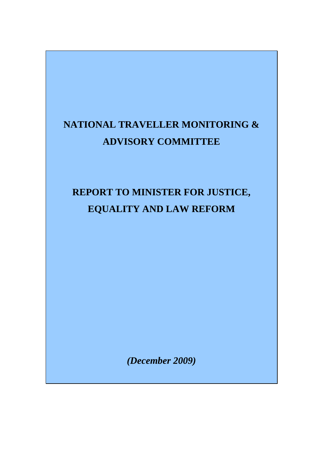# **NATIONAL TRAVELLER MONITORING & ADVISORY COMMITTEE**

# **REPORT TO MINISTER FOR JUSTICE, EQUALITY AND LAW REFORM**

*(December 2009)*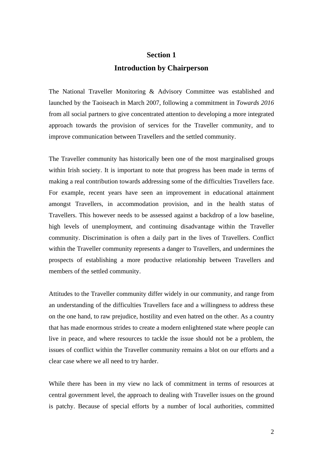# **Section 1 Introduction by Chairperson**

The National Traveller Monitoring & Advisory Committee was established and launched by the Taoiseach in March 2007, following a commitment in *Towards 2016* from all social partners to give concentrated attention to developing a more integrated approach towards the provision of services for the Traveller community, and to improve communication between Travellers and the settled community.

The Traveller community has historically been one of the most marginalised groups within Irish society. It is important to note that progress has been made in terms of making a real contribution towards addressing some of the difficulties Travellers face. For example, recent years have seen an improvement in educational attainment amongst Travellers, in accommodation provision, and in the health status of Travellers. This however needs to be assessed against a backdrop of a low baseline, high levels of unemployment, and continuing disadvantage within the Traveller community. Discrimination is often a daily part in the lives of Travellers. Conflict within the Traveller community represents a danger to Travellers, and undermines the prospects of establishing a more productive relationship between Travellers and members of the settled community.

Attitudes to the Traveller community differ widely in our community, and range from an understanding of the difficulties Travellers face and a willingness to address these on the one hand, to raw prejudice, hostility and even hatred on the other. As a country that has made enormous strides to create a modern enlightened state where people can live in peace, and where resources to tackle the issue should not be a problem, the issues of conflict within the Traveller community remains a blot on our efforts and a clear case where we all need to try harder.

While there has been in my view no lack of commitment in terms of resources at central government level, the approach to dealing with Traveller issues on the ground is patchy. Because of special efforts by a number of local authorities, committed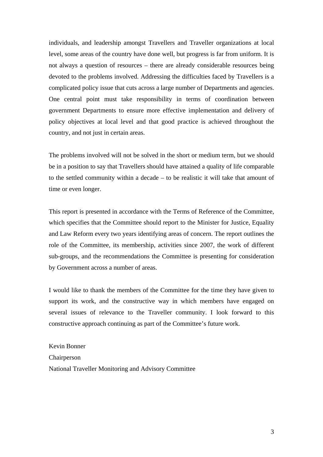individuals, and leadership amongst Travellers and Traveller organizations at local level, some areas of the country have done well, but progress is far from uniform. It is not always a question of resources – there are already considerable resources being devoted to the problems involved. Addressing the difficulties faced by Travellers is a complicated policy issue that cuts across a large number of Departments and agencies. One central point must take responsibility in terms of coordination between government Departments to ensure more effective implementation and delivery of policy objectives at local level and that good practice is achieved throughout the country, and not just in certain areas.

The problems involved will not be solved in the short or medium term, but we should be in a position to say that Travellers should have attained a quality of life comparable to the settled community within a decade – to be realistic it will take that amount of time or even longer.

This report is presented in accordance with the Terms of Reference of the Committee, which specifies that the Committee should report to the Minister for Justice, Equality and Law Reform every two years identifying areas of concern. The report outlines the role of the Committee, its membership, activities since 2007, the work of different sub-groups, and the recommendations the Committee is presenting for consideration by Government across a number of areas.

I would like to thank the members of the Committee for the time they have given to support its work, and the constructive way in which members have engaged on several issues of relevance to the Traveller community. I look forward to this constructive approach continuing as part of the Committee's future work.

Kevin Bonner Chairperson National Traveller Monitoring and Advisory Committee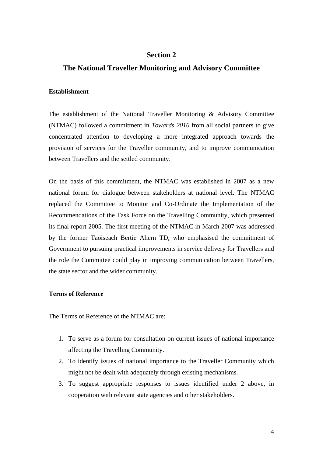# **Section 2**

# **The National Traveller Monitoring and Advisory Committee**

# **Establishment**

The establishment of the National Traveller Monitoring & Advisory Committee (NTMAC) followed a commitment in *Towards 2016* from all social partners to give concentrated attention to developing a more integrated approach towards the provision of services for the Traveller community, and to improve communication between Travellers and the settled community.

On the basis of this commitment, the NTMAC was established in 2007 as a new national forum for dialogue between stakeholders at national level. The NTMAC replaced the Committee to Monitor and Co-Ordinate the Implementation of the Recommendations of the Task Force on the Travelling Community, which presented its final report 2005. The first meeting of the NTMAC in March 2007 was addressed by the former Taoiseach Bertie Ahern TD, who emphasised the commitment of Government to pursuing practical improvements in service delivery for Travellers and the role the Committee could play in improving communication between Travellers, the state sector and the wider community.

# **Terms of Reference**

The Terms of Reference of the NTMAC are:

- 1. To serve as a forum for consultation on current issues of national importance affecting the Travelling Community.
- 2. To identify issues of national importance to the Traveller Community which might not be dealt with adequately through existing mechanisms.
- 3. To suggest appropriate responses to issues identified under 2 above, in cooperation with relevant state agencies and other stakeholders.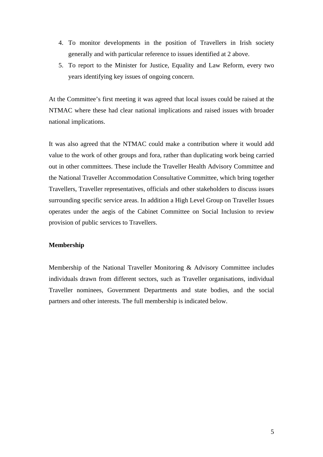- 4. To monitor developments in the position of Travellers in Irish society generally and with particular reference to issues identified at 2 above.
- 5. To report to the Minister for Justice, Equality and Law Reform, every two years identifying key issues of ongoing concern.

At the Committee's first meeting it was agreed that local issues could be raised at the NTMAC where these had clear national implications and raised issues with broader national implications.

It was also agreed that the NTMAC could make a contribution where it would add value to the work of other groups and fora, rather than duplicating work being carried out in other committees. These include the Traveller Health Advisory Committee and the National Traveller Accommodation Consultative Committee, which bring together Travellers, Traveller representatives, officials and other stakeholders to discuss issues surrounding specific service areas. In addition a High Level Group on Traveller Issues operates under the aegis of the Cabinet Committee on Social Inclusion to review provision of public services to Travellers.

#### **Membership**

Membership of the National Traveller Monitoring & Advisory Committee includes individuals drawn from different sectors, such as Traveller organisations, individual Traveller nominees, Government Departments and state bodies, and the social partners and other interests. The full membership is indicated below.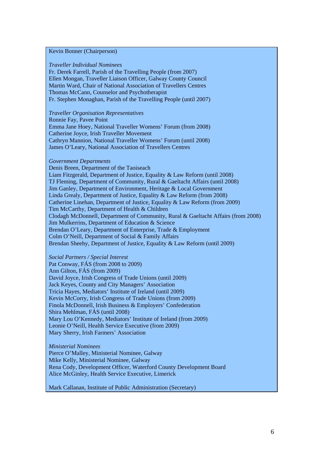### Kevin Bonner (Chairperson)

#### *Traveller Individual Nominees*

Fr. Derek Farrell, Parish of the Travelling People (from 2007) Ellen Mongan, Traveller Liaison Officer, Galway County Council Martin Ward, Chair of National Association of Travellers Centres Thomas McCann, Counselor and Psychotherapist Fr. Stephen Monaghan, Parish of the Travelling People (until 2007)

#### *Traveller Organisation Representatives*

Ronnie Fay, Pavee Point Emma Jane Hoey, National Traveller Womens' Forum (from 2008) Catherine Joyce, Irish Traveller Movement Cathryn Mannion, National Traveller Womens' Forum (until 2008) James O'Leary, National Association of Travellers Centres

#### *Government Departments*

Denis Breen, Department of the Taoiseach Liam Fitzgerald, Department of Justice, Equality & Law Reform (until 2008) TJ Fleming, Department of Community, Rural & Gaeltacht Affairs (until 2008) Jim Ganley, Department of Environment, Heritage & Local Government Linda Grealy, Department of Justice, Equality & Law Reform (from 2008) Catherine Linehan, Department of Justice, Equality & Law Reform (from 2009) Tim McCarthy, Department of Health & Children Clodagh McDonnell, Department of Community, Rural & Gaeltacht Affairs (from 2008) Jim Mulkerrins, Department of Education & Science Brendan O'Leary, Department of Enterprise, Trade & Employment Colm O'Neill, Department of Social & Family Affairs Brendan Sheehy, Department of Justice, Equality & Law Reform (until 2009)

#### *Social Partners / Special Interest*

Pat Conway, FÁS (from 2008 to 2009) Ann Gilton, FÁS (from 2009) David Joyce, Irish Congress of Trade Unions (until 2009) Jack Keyes, County and City Managers' Association Tricia Hayes, Mediators' Institute of Ireland (until 2009) Kevin McCorry, Irish Congress of Trade Unions (from 2009) Finola McDonnell, Irish Business & Employers' Confederation Shira Mehlman, FÁS (until 2008) Mary Lou O'Kennedy, Mediators' Institute of Ireland (from 2009) Leonie O'Neill, Health Service Executive (from 2009) Mary Sherry, Irish Farmers' Association

#### *Ministerial Nominees*

Pierce O'Malley, Ministerial Nominee, Galway Mike Kelly, Ministerial Nominee, Galway Rena Cody, Development Officer, Waterford County Development Board Alice McGinley, Health Service Executive, Limerick

Mark Callanan, Institute of Public Administration (Secretary)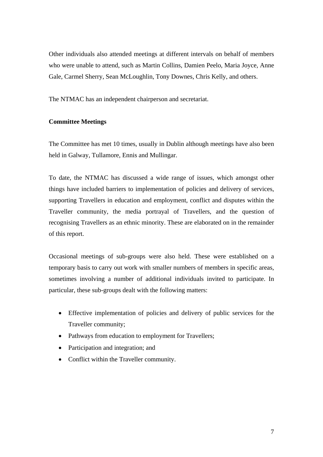Other individuals also attended meetings at different intervals on behalf of members who were unable to attend, such as Martin Collins, Damien Peelo, Maria Joyce, Anne Gale, Carmel Sherry, Sean McLoughlin, Tony Downes, Chris Kelly, and others.

The NTMAC has an independent chairperson and secretariat.

# **Committee Meetings**

The Committee has met 10 times, usually in Dublin although meetings have also been held in Galway, Tullamore, Ennis and Mullingar.

To date, the NTMAC has discussed a wide range of issues, which amongst other things have included barriers to implementation of policies and delivery of services, supporting Travellers in education and employment, conflict and disputes within the Traveller community, the media portrayal of Travellers, and the question of recognising Travellers as an ethnic minority. These are elaborated on in the remainder of this report.

Occasional meetings of sub-groups were also held. These were established on a temporary basis to carry out work with smaller numbers of members in specific areas, sometimes involving a number of additional individuals invited to participate. In particular, these sub-groups dealt with the following matters:

- Effective implementation of policies and delivery of public services for the Traveller community;
- Pathways from education to employment for Travellers;
- Participation and integration; and
- Conflict within the Traveller community.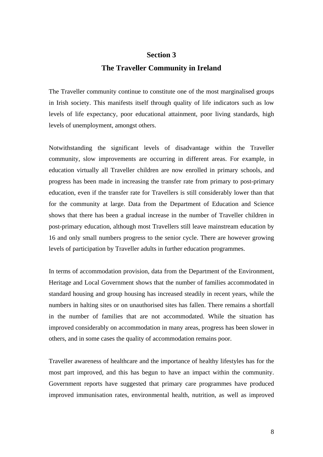# **Section 3 The Traveller Community in Ireland**

The Traveller community continue to constitute one of the most marginalised groups in Irish society. This manifests itself through quality of life indicators such as low levels of life expectancy, poor educational attainment, poor living standards, high levels of unemployment, amongst others.

Notwithstanding the significant levels of disadvantage within the Traveller community, slow improvements are occurring in different areas. For example, in education virtually all Traveller children are now enrolled in primary schools, and progress has been made in increasing the transfer rate from primary to post-primary education, even if the transfer rate for Travellers is still considerably lower than that for the community at large. Data from the Department of Education and Science shows that there has been a gradual increase in the number of Traveller children in post-primary education, although most Travellers still leave mainstream education by 16 and only small numbers progress to the senior cycle. There are however growing levels of participation by Traveller adults in further education programmes.

In terms of accommodation provision, data from the Department of the Environment, Heritage and Local Government shows that the number of families accommodated in standard housing and group housing has increased steadily in recent years, while the numbers in halting sites or on unauthorised sites has fallen. There remains a shortfall in the number of families that are not accommodated. While the situation has improved considerably on accommodation in many areas, progress has been slower in others, and in some cases the quality of accommodation remains poor.

Traveller awareness of healthcare and the importance of healthy lifestyles has for the most part improved, and this has begun to have an impact within the community. Government reports have suggested that primary care programmes have produced improved immunisation rates, environmental health, nutrition, as well as improved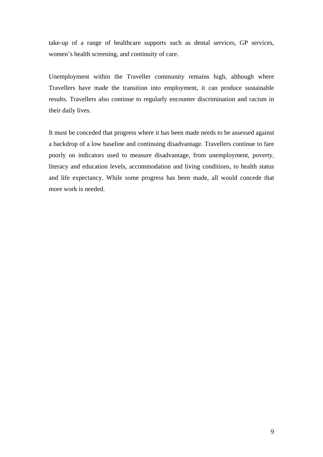take-up of a range of healthcare supports such as dental services, GP services, women's health screening, and continuity of care.

Unemployment within the Traveller community remains high, although where Travellers have made the transition into employment, it can produce sustainable results. Travellers also continue to regularly encounter discrimination and racism in their daily lives.

It must be conceded that progress where it has been made needs to be assessed against a backdrop of a low baseline and continuing disadvantage. Travellers continue to fare poorly on indicators used to measure disadvantage, from unemployment, poverty, literacy and education levels, accommodation and living conditions, to health status and life expectancy. While some progress has been made, all would concede that more work is needed.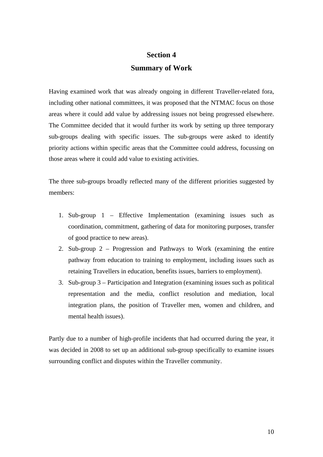# **Section 4 Summary of Work**

Having examined work that was already ongoing in different Traveller-related fora, including other national committees, it was proposed that the NTMAC focus on those areas where it could add value by addressing issues not being progressed elsewhere. The Committee decided that it would further its work by setting up three temporary sub-groups dealing with specific issues. The sub-groups were asked to identify priority actions within specific areas that the Committee could address, focussing on those areas where it could add value to existing activities.

The three sub-groups broadly reflected many of the different priorities suggested by members:

- 1. Sub-group 1 Effective Implementation (examining issues such as coordination, commitment, gathering of data for monitoring purposes, transfer of good practice to new areas).
- 2. Sub-group 2 Progression and Pathways to Work (examining the entire pathway from education to training to employment, including issues such as retaining Travellers in education, benefits issues, barriers to employment).
- 3. Sub-group 3 Participation and Integration (examining issues such as political representation and the media, conflict resolution and mediation, local integration plans, the position of Traveller men, women and children, and mental health issues).

Partly due to a number of high-profile incidents that had occurred during the year, it was decided in 2008 to set up an additional sub-group specifically to examine issues surrounding conflict and disputes within the Traveller community.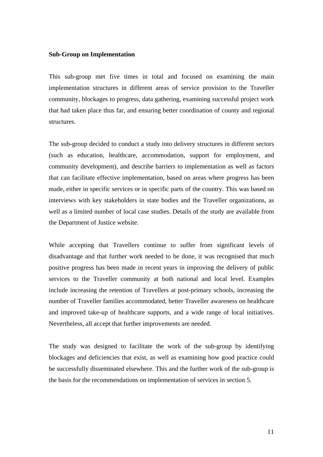#### **Sub-Group on Implementation**

This sub-group met five times in total and focused on examining the main implementation structures in different areas of service provision to the Traveller community, blockages to progress, data gathering, examining successful project work that had taken place thus far, and ensuring better coordination of county and regional structures.

The sub-group decided to conduct a study into delivery structures in different sectors (such as education, healthcare, accommodation, support for employment, and community development), and describe barriers to implementation as well as factors that can facilitate effective implementation, based on areas where progress has been made, either in specific services or in specific parts of the country. This was based on interviews with key stakeholders in state bodies and the Traveller organizations, as well as a limited number of local case studies. Details of the study are available from the Department of Justice website.

While accepting that Travellers continue to suffer from significant levels of disadvantage and that further work needed to be done, it was recognised that much positive progress has been made in recent years in improving the delivery of public services to the Traveller community at both national and local level. Examples include increasing the retention of Travellers at post-primary schools, increasing the number of Traveller families accommodated, better Traveller awareness on healthcare and improved take-up of healthcare supports, and a wide range of local initiatives. Nevertheless, all accept that further improvements are needed.

The study was designed to facilitate the work of the sub-group by identifying blockages and deficiencies that exist, as well as examining how good practice could be successfully disseminated elsewhere. This and the further work of the sub-group is the basis for the recommendations on implementation of services in section 5.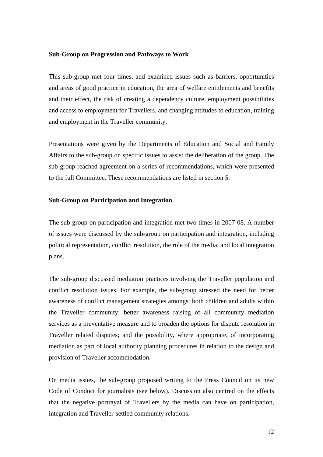#### **Sub-Group on Progression and Pathways to Work**

This sub-group met four times, and examined issues such as barriers, opportunities and areas of good practice in education, the area of welfare entitlements and benefits and their effect, the risk of creating a dependency culture, employment possibilities and access to employment for Travellers, and changing attitudes to education, training and employment in the Traveller community.

Presentations were given by the Departments of Education and Social and Family Affairs to the sub-group on specific issues to assist the deliberation of the group. The sub-group reached agreement on a series of recommendations, which were presented to the full Committee. These recommendations are listed in section 5.

#### **Sub-Group on Participation and Integration**

The sub-group on participation and integration met two times in 2007-08. A number of issues were discussed by the sub-group on participation and integration, including political representation, conflict resolution, the role of the media, and local integration plans.

The sub-group discussed mediation practices involving the Traveller population and conflict resolution issues. For example, the sub-group stressed the need for better awareness of conflict management strategies amongst both children and adults within the Traveller community; better awareness raising of all community mediation services as a preventative measure and to broaden the options for dispute resolution in Traveller related disputes; and the possibility, where appropriate, of incorporating mediation as part of local authority planning procedures in relation to the design and provision of Traveller accommodation.

On media issues, the sub-group proposed writing to the Press Council on its new Code of Conduct for journalists (see below). Discussion also centred on the effects that the negative portrayal of Travellers by the media can have on participation, integration and Traveller-settled community relations.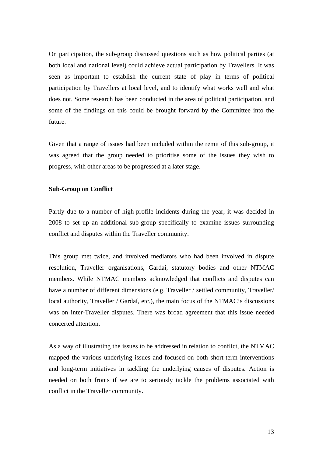On participation, the sub-group discussed questions such as how political parties (at both local and national level) could achieve actual participation by Travellers. It was seen as important to establish the current state of play in terms of political participation by Travellers at local level, and to identify what works well and what does not. Some research has been conducted in the area of political participation, and some of the findings on this could be brought forward by the Committee into the future.

Given that a range of issues had been included within the remit of this sub-group, it was agreed that the group needed to prioritise some of the issues they wish to progress, with other areas to be progressed at a later stage.

#### **Sub-Group on Conflict**

Partly due to a number of high-profile incidents during the year, it was decided in 2008 to set up an additional sub-group specifically to examine issues surrounding conflict and disputes within the Traveller community.

This group met twice, and involved mediators who had been involved in dispute resolution, Traveller organisations, Gardaí, statutory bodies and other NTMAC members. While NTMAC members acknowledged that conflicts and disputes can have a number of different dimensions (e.g. Traveller / settled community, Traveller / local authority, Traveller / Gardaí, etc.), the main focus of the NTMAC's discussions was on inter-Traveller disputes. There was broad agreement that this issue needed concerted attention.

As a way of illustrating the issues to be addressed in relation to conflict, the NTMAC mapped the various underlying issues and focused on both short-term interventions and long-term initiatives in tackling the underlying causes of disputes. Action is needed on both fronts if we are to seriously tackle the problems associated with conflict in the Traveller community.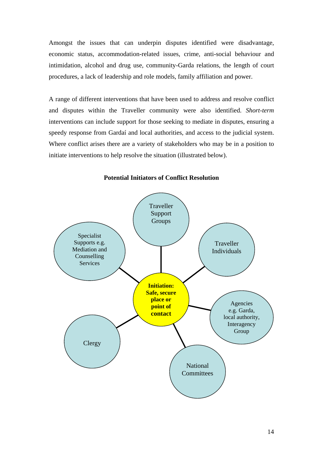Amongst the issues that can underpin disputes identified were disadvantage, economic status, accommodation-related issues, crime, anti-social behaviour and intimidation, alcohol and drug use, community-Garda relations, the length of court procedures, a lack of leadership and role models, family affiliation and power.

A range of different interventions that have been used to address and resolve conflict and disputes within the Traveller community were also identified. *Short-term* interventions can include support for those seeking to mediate in disputes, ensuring a speedy response from Gardaí and local authorities, and access to the judicial system. Where conflict arises there are a variety of stakeholders who may be in a position to initiate interventions to help resolve the situation (illustrated below).



**Potential Initiators of Conflict Resolution**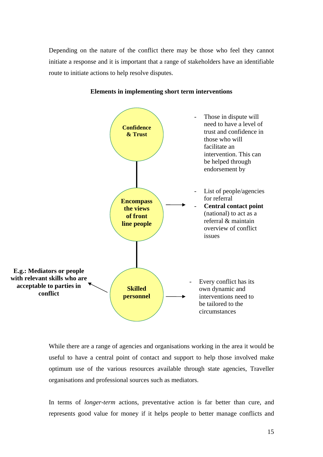Depending on the nature of the conflict there may be those who feel they cannot initiate a response and it is important that a range of stakeholders have an identifiable route to initiate actions to help resolve disputes.



# **Elements in implementing short term interventions**

While there are a range of agencies and organisations working in the area it would be useful to have a central point of contact and support to help those involved make optimum use of the various resources available through state agencies, Traveller organisations and professional sources such as mediators.

In terms of *longer-term* actions, preventative action is far better than cure, and represents good value for money if it helps people to better manage conflicts and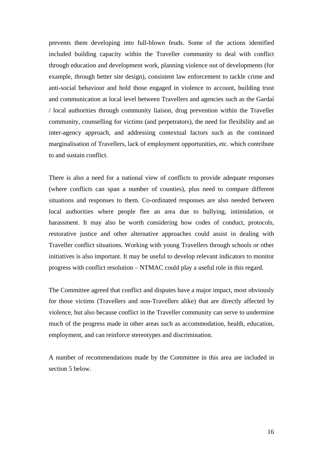prevents them developing into full-blown feuds. Some of the actions identified included building capacity within the Traveller community to deal with conflict through education and development work, planning violence out of developments (for example, through better site design), consistent law enforcement to tackle crime and anti-social behaviour and hold those engaged in violence to account, building trust and communication at local level between Travellers and agencies such as the Gardaí / local authorities through community liaison, drug prevention within the Traveller community, counselling for victims (and perpetrators), the need for flexibility and an inter-agency approach, and addressing contextual factors such as the continued marginalisation of Travellers, lack of employment opportunities, etc. which contribute to and sustain conflict.

There is also a need for a national view of conflicts to provide adequate responses (where conflicts can span a number of counties), plus need to compare different situations and responses to them. Co-ordinated responses are also needed between local authorities where people flee an area due to bullying, intimidation, or harassment. It may also be worth considering how codes of conduct, protocols, restorative justice and other alternative approaches could assist in dealing with Traveller conflict situations. Working with young Travellers through schools or other initiatives is also important. It may be useful to develop relevant indicators to monitor progress with conflict resolution – NTMAC could play a useful role in this regard.

The Committee agreed that conflict and disputes have a major impact, most obviously for those victims (Travellers and non-Travellers alike) that are directly affected by violence, but also because conflict in the Traveller community can serve to undermine much of the progress made in other areas such as accommodation, health, education, employment, and can reinforce stereotypes and discrimination.

A number of recommendations made by the Committee in this area are included in section 5 below.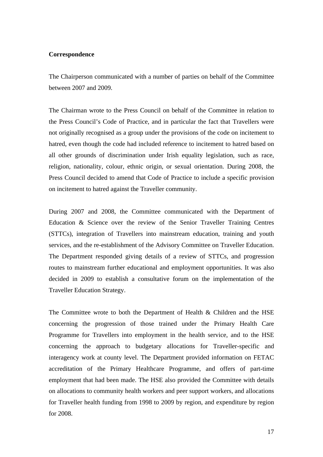### **Correspondence**

The Chairperson communicated with a number of parties on behalf of the Committee between 2007 and 2009.

The Chairman wrote to the Press Council on behalf of the Committee in relation to the Press Council's Code of Practice, and in particular the fact that Travellers were not originally recognised as a group under the provisions of the code on incitement to hatred, even though the code had included reference to incitement to hatred based on all other grounds of discrimination under Irish equality legislation, such as race, religion, nationality, colour, ethnic origin, or sexual orientation. During 2008, the Press Council decided to amend that Code of Practice to include a specific provision on incitement to hatred against the Traveller community.

During 2007 and 2008, the Committee communicated with the Department of Education & Science over the review of the Senior Traveller Training Centres (STTCs), integration of Travellers into mainstream education, training and youth services, and the re-establishment of the Advisory Committee on Traveller Education. The Department responded giving details of a review of STTCs, and progression routes to mainstream further educational and employment opportunities. It was also decided in 2009 to establish a consultative forum on the implementation of the Traveller Education Strategy.

The Committee wrote to both the Department of Health & Children and the HSE concerning the progression of those trained under the Primary Health Care Programme for Travellers into employment in the health service, and to the HSE concerning the approach to budgetary allocations for Traveller-specific and interagency work at county level. The Department provided information on FETAC accreditation of the Primary Healthcare Programme, and offers of part-time employment that had been made. The HSE also provided the Committee with details on allocations to community health workers and peer support workers, and allocations for Traveller health funding from 1998 to 2009 by region, and expenditure by region for 2008.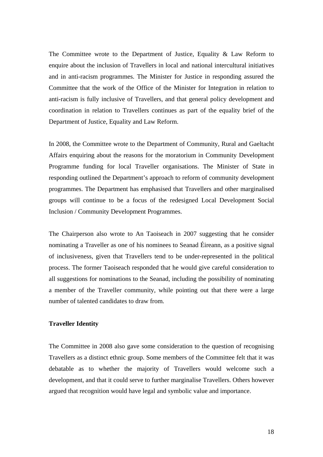The Committee wrote to the Department of Justice, Equality & Law Reform to enquire about the inclusion of Travellers in local and national intercultural initiatives and in anti-racism programmes. The Minister for Justice in responding assured the Committee that the work of the Office of the Minister for Integration in relation to anti-racism is fully inclusive of Travellers, and that general policy development and coordination in relation to Travellers continues as part of the equality brief of the Department of Justice, Equality and Law Reform.

In 2008, the Committee wrote to the Department of Community, Rural and Gaeltacht Affairs enquiring about the reasons for the moratorium in Community Development Programme funding for local Traveller organisations. The Minister of State in responding outlined the Department's approach to reform of community development programmes. The Department has emphasised that Travellers and other marginalised groups will continue to be a focus of the redesigned Local Development Social Inclusion / Community Development Programmes.

The Chairperson also wrote to An Taoiseach in 2007 suggesting that he consider nominating a Traveller as one of his nominees to Seanad Éireann, as a positive signal of inclusiveness, given that Travellers tend to be under-represented in the political process. The former Taoiseach responded that he would give careful consideration to all suggestions for nominations to the Seanad, including the possibility of nominating a member of the Traveller community, while pointing out that there were a large number of talented candidates to draw from.

# **Traveller Identity**

The Committee in 2008 also gave some consideration to the question of recognising Travellers as a distinct ethnic group. Some members of the Committee felt that it was debatable as to whether the majority of Travellers would welcome such a development, and that it could serve to further marginalise Travellers. Others however argued that recognition would have legal and symbolic value and importance.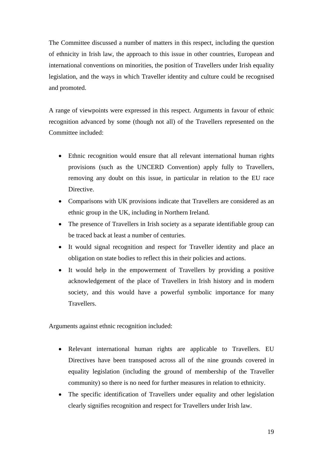The Committee discussed a number of matters in this respect, including the question of ethnicity in Irish law, the approach to this issue in other countries, European and international conventions on minorities, the position of Travellers under Irish equality legislation, and the ways in which Traveller identity and culture could be recognised and promoted.

A range of viewpoints were expressed in this respect. Arguments in favour of ethnic recognition advanced by some (though not all) of the Travellers represented on the Committee included:

- Ethnic recognition would ensure that all relevant international human rights provisions (such as the UNCERD Convention) apply fully to Travellers, removing any doubt on this issue, in particular in relation to the EU race Directive.
- Comparisons with UK provisions indicate that Travellers are considered as an ethnic group in the UK, including in Northern Ireland.
- The presence of Travellers in Irish society as a separate identifiable group can be traced back at least a number of centuries.
- It would signal recognition and respect for Traveller identity and place an obligation on state bodies to reflect this in their policies and actions.
- It would help in the empowerment of Travellers by providing a positive acknowledgement of the place of Travellers in Irish history and in modern society, and this would have a powerful symbolic importance for many **Travellers**

Arguments against ethnic recognition included:

- Relevant international human rights are applicable to Travellers. EU Directives have been transposed across all of the nine grounds covered in equality legislation (including the ground of membership of the Traveller community) so there is no need for further measures in relation to ethnicity.
- The specific identification of Travellers under equality and other legislation clearly signifies recognition and respect for Travellers under Irish law.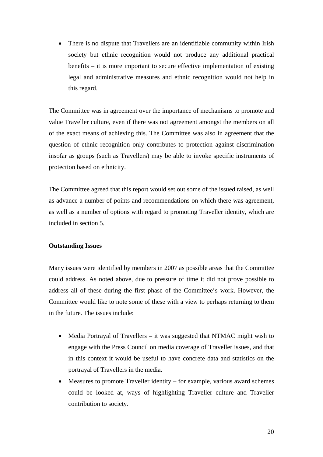• There is no dispute that Travellers are an identifiable community within Irish society but ethnic recognition would not produce any additional practical benefits – it is more important to secure effective implementation of existing legal and administrative measures and ethnic recognition would not help in this regard.

The Committee was in agreement over the importance of mechanisms to promote and value Traveller culture, even if there was not agreement amongst the members on all of the exact means of achieving this. The Committee was also in agreement that the question of ethnic recognition only contributes to protection against discrimination insofar as groups (such as Travellers) may be able to invoke specific instruments of protection based on ethnicity.

The Committee agreed that this report would set out some of the issued raised, as well as advance a number of points and recommendations on which there was agreement, as well as a number of options with regard to promoting Traveller identity, which are included in section 5.

# **Outstanding Issues**

Many issues were identified by members in 2007 as possible areas that the Committee could address. As noted above, due to pressure of time it did not prove possible to address all of these during the first phase of the Committee's work. However, the Committee would like to note some of these with a view to perhaps returning to them in the future. The issues include:

- Media Portrayal of Travellers it was suggested that NTMAC might wish to engage with the Press Council on media coverage of Traveller issues, and that in this context it would be useful to have concrete data and statistics on the portrayal of Travellers in the media.
- Measures to promote Traveller identity for example, various award schemes could be looked at, ways of highlighting Traveller culture and Traveller contribution to society.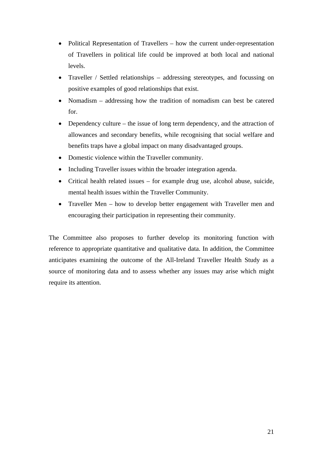- Political Representation of Travellers how the current under-representation of Travellers in political life could be improved at both local and national levels.
- Traveller / Settled relationships addressing stereotypes, and focussing on positive examples of good relationships that exist.
- Nomadism addressing how the tradition of nomadism can best be catered for.
- Dependency culture the issue of long term dependency, and the attraction of allowances and secondary benefits, while recognising that social welfare and benefits traps have a global impact on many disadvantaged groups.
- Domestic violence within the Traveller community.
- Including Traveller issues within the broader integration agenda.
- Critical health related issues for example drug use, alcohol abuse, suicide, mental health issues within the Traveller Community.
- Traveller Men how to develop better engagement with Traveller men and encouraging their participation in representing their community.

The Committee also proposes to further develop its monitoring function with reference to appropriate quantitative and qualitative data. In addition, the Committee anticipates examining the outcome of the All-Ireland Traveller Health Study as a source of monitoring data and to assess whether any issues may arise which might require its attention.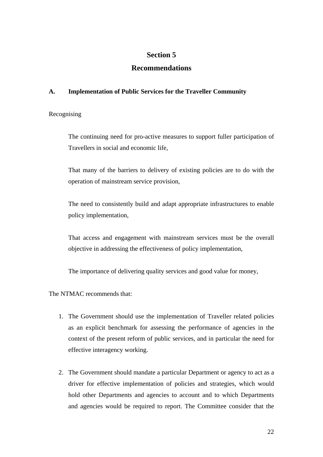# **Section 5**

# **Recommendations**

# **A. Implementation of Public Services for the Traveller Community**

Recognising

The continuing need for pro-active measures to support fuller participation of Travellers in social and economic life,

That many of the barriers to delivery of existing policies are to do with the operation of mainstream service provision,

The need to consistently build and adapt appropriate infrastructures to enable policy implementation,

That access and engagement with mainstream services must be the overall objective in addressing the effectiveness of policy implementation,

The importance of delivering quality services and good value for money,

The NTMAC recommends that:

- 1. The Government should use the implementation of Traveller related policies as an explicit benchmark for assessing the performance of agencies in the context of the present reform of public services, and in particular the need for effective interagency working.
- 2. The Government should mandate a particular Department or agency to act as a driver for effective implementation of policies and strategies, which would hold other Departments and agencies to account and to which Departments and agencies would be required to report. The Committee consider that the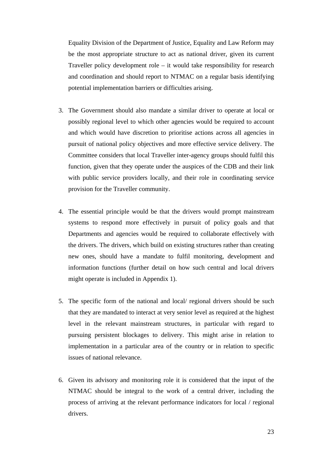Equality Division of the Department of Justice, Equality and Law Reform may be the most appropriate structure to act as national driver, given its current Traveller policy development role – it would take responsibility for research and coordination and should report to NTMAC on a regular basis identifying potential implementation barriers or difficulties arising.

- 3. The Government should also mandate a similar driver to operate at local or possibly regional level to which other agencies would be required to account and which would have discretion to prioritise actions across all agencies in pursuit of national policy objectives and more effective service delivery. The Committee considers that local Traveller inter-agency groups should fulfil this function, given that they operate under the auspices of the CDB and their link with public service providers locally, and their role in coordinating service provision for the Traveller community.
- 4. The essential principle would be that the drivers would prompt mainstream systems to respond more effectively in pursuit of policy goals and that Departments and agencies would be required to collaborate effectively with the drivers. The drivers, which build on existing structures rather than creating new ones, should have a mandate to fulfil monitoring, development and information functions (further detail on how such central and local drivers might operate is included in Appendix 1).
- 5. The specific form of the national and local/ regional drivers should be such that they are mandated to interact at very senior level as required at the highest level in the relevant mainstream structures, in particular with regard to pursuing persistent blockages to delivery. This might arise in relation to implementation in a particular area of the country or in relation to specific issues of national relevance.
- 6. Given its advisory and monitoring role it is considered that the input of the NTMAC should be integral to the work of a central driver, including the process of arriving at the relevant performance indicators for local / regional drivers.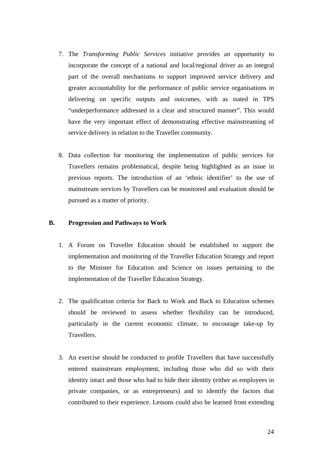- 7. The *Transforming Public Services* initiative provides an opportunity to incorporate the concept of a national and local/regional driver as an integral part of the overall mechanisms to support improved service delivery and greater accountability for the performance of public service organisations in delivering on specific outputs and outcomes, with as stated in TPS "underperformance addressed in a clear and structured manner". This would have the very important effect of demonstrating effective mainstreaming of service delivery in relation to the Traveller community.
- 8. Data collection for monitoring the implementation of public services for Travellers remains problematical, despite being highlighted as an issue in previous reports. The introduction of an 'ethnic identifier' to the use of mainstream services by Travellers can be monitored and evaluation should be pursued as a matter of priority.

## **B. Progression and Pathways to Work**

- 1. A Forum on Traveller Education should be established to support the implementation and monitoring of the Traveller Education Strategy and report to the Minister for Education and Science on issues pertaining to the implementation of the Traveller Education Strategy.
- 2. The qualification criteria for Back to Work and Back to Education schemes should be reviewed to assess whether flexibility can be introduced, particularly in the current economic climate, to encourage take-up by Travellers.
- 3. An exercise should be conducted to profile Travellers that have successfully entered mainstream employment, including those who did so with their identity intact and those who had to hide their identity (either as employees in private companies, or as entrepreneurs) and to identify the factors that contributed to their experience. Lessons could also be learned from extending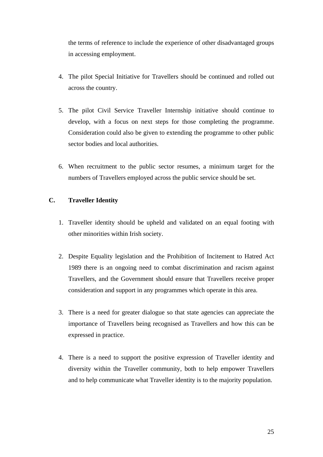the terms of reference to include the experience of other disadvantaged groups in accessing employment.

- 4. The pilot Special Initiative for Travellers should be continued and rolled out across the country.
- 5. The pilot Civil Service Traveller Internship initiative should continue to develop, with a focus on next steps for those completing the programme. Consideration could also be given to extending the programme to other public sector bodies and local authorities.
- 6. When recruitment to the public sector resumes, a minimum target for the numbers of Travellers employed across the public service should be set.

# **C. Traveller Identity**

- 1. Traveller identity should be upheld and validated on an equal footing with other minorities within Irish society.
- 2. Despite Equality legislation and the Prohibition of Incitement to Hatred Act 1989 there is an ongoing need to combat discrimination and racism against Travellers, and the Government should ensure that Travellers receive proper consideration and support in any programmes which operate in this area.
- 3. There is a need for greater dialogue so that state agencies can appreciate the importance of Travellers being recognised as Travellers and how this can be expressed in practice.
- 4. There is a need to support the positive expression of Traveller identity and diversity within the Traveller community, both to help empower Travellers and to help communicate what Traveller identity is to the majority population.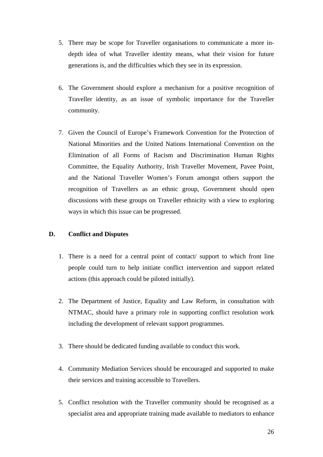- 5. There may be scope for Traveller organisations to communicate a more indepth idea of what Traveller identity means, what their vision for future generations is, and the difficulties which they see in its expression.
- 6. The Government should explore a mechanism for a positive recognition of Traveller identity, as an issue of symbolic importance for the Traveller community.
- 7. Given the Council of Europe's Framework Convention for the Protection of National Minorities and the United Nations International Convention on the Elimination of all Forms of Racism and Discrimination Human Rights Committee, the Equality Authority, Irish Traveller Movement, Pavee Point, and the National Traveller Women's Forum amongst others support the recognition of Travellers as an ethnic group, Government should open discussions with these groups on Traveller ethnicity with a view to exploring ways in which this issue can be progressed.

# **D. Conflict and Disputes**

- 1. There is a need for a central point of contact/ support to which front line people could turn to help initiate conflict intervention and support related actions (this approach could be piloted initially).
- 2. The Department of Justice, Equality and Law Reform, in consultation with NTMAC, should have a primary role in supporting conflict resolution work including the development of relevant support programmes.
- 3. There should be dedicated funding available to conduct this work.
- 4. Community Mediation Services should be encouraged and supported to make their services and training accessible to Travellers.
- 5. Conflict resolution with the Traveller community should be recognised as a specialist area and appropriate training made available to mediators to enhance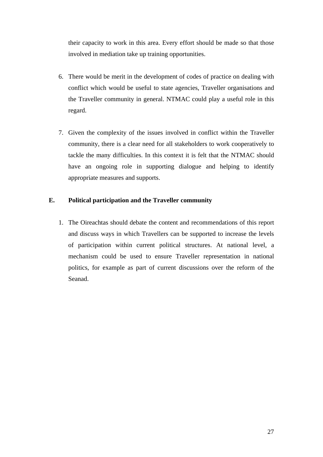their capacity to work in this area. Every effort should be made so that those involved in mediation take up training opportunities.

- 6. There would be merit in the development of codes of practice on dealing with conflict which would be useful to state agencies, Traveller organisations and the Traveller community in general. NTMAC could play a useful role in this regard.
- 7. Given the complexity of the issues involved in conflict within the Traveller community, there is a clear need for all stakeholders to work cooperatively to tackle the many difficulties. In this context it is felt that the NTMAC should have an ongoing role in supporting dialogue and helping to identify appropriate measures and supports.

# **E. Political participation and the Traveller community**

1. The Oireachtas should debate the content and recommendations of this report and discuss ways in which Travellers can be supported to increase the levels of participation within current political structures. At national level, a mechanism could be used to ensure Traveller representation in national politics, for example as part of current discussions over the reform of the Seanad.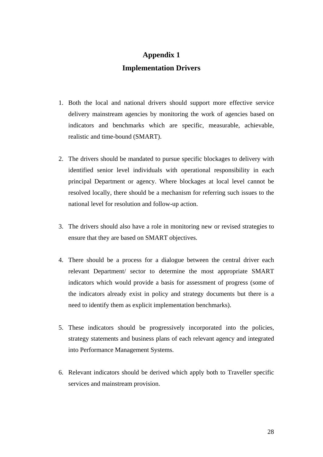# **Appendix 1 Implementation Drivers**

- 1. Both the local and national drivers should support more effective service delivery mainstream agencies by monitoring the work of agencies based on indicators and benchmarks which are specific, measurable, achievable, realistic and time-bound (SMART).
- 2. The drivers should be mandated to pursue specific blockages to delivery with identified senior level individuals with operational responsibility in each principal Department or agency. Where blockages at local level cannot be resolved locally, there should be a mechanism for referring such issues to the national level for resolution and follow-up action.
- 3. The drivers should also have a role in monitoring new or revised strategies to ensure that they are based on SMART objectives.
- 4. There should be a process for a dialogue between the central driver each relevant Department/ sector to determine the most appropriate SMART indicators which would provide a basis for assessment of progress (some of the indicators already exist in policy and strategy documents but there is a need to identify them as explicit implementation benchmarks).
- 5. These indicators should be progressively incorporated into the policies, strategy statements and business plans of each relevant agency and integrated into Performance Management Systems.
- 6. Relevant indicators should be derived which apply both to Traveller specific services and mainstream provision.